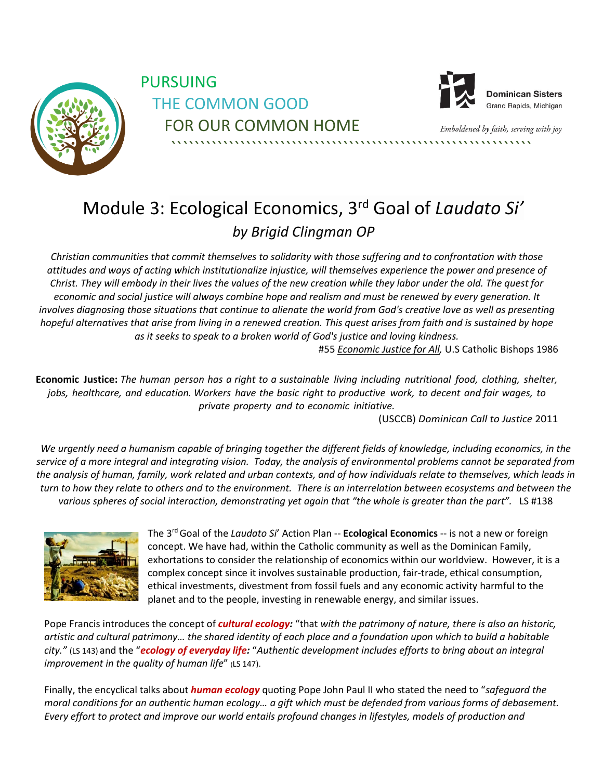

PURSUING THE COMMON GOOD FOR OUR COMMON HOME



**Dominican Sisters** Grand Rapids, Michigan

<span id="page-0-0"></span>Emboldened by faith, serving with joy ```````````````````````````````````````````````````````````````

## Module 3: Ecological Economics, 3rd Goal of *Laudato Si' by Brigid Clingman OP*

*Christian communities that commit themselves to solidarity with those suffering and to confrontation with those attitudes and ways of acting which institutionalize injustice, will themselves experience the power and presence of Christ. They will embody in their lives the values of the new creation while they labor under the old. The quest for economic and social justice will always combine hope and realism and must be renewed by every generation. It involves diagnosing those situations that continue to alienate the world from God's creative love as well as presenting hopeful alternatives that arise from living in a renewed creation. This quest arises from faith and is sustained by hope as it seeks to speak to a broken world of God's justice and loving kindness.*

#55 *Economic Justice for All,* U.S Catholic Bishops 1986

Economic Justice: The human person has a right to a sustainable living including nutritional food, clothing, shelter, *jobs, healthcare, and education. Workers have the basic right to productive work, to decent and fair wages, to private property and to economic initiative.*

(USCCB) *Dominican Call to Justice* 2011

*We urgently need a humanism capable of bringing together the different fields of knowledge, including economics, in the service of a more integral and integrating vision. Today, the analysis of environmental problems cannot be separated from the analysis of human, family, work related and urban contexts, and of how individuals relate to themselves, which leads in turn to how they relate to others and to the environment. There is an interrelation between ecosystems and between the various spheres of social interaction, demonstrating yet again that "the whole is greater than the part".* LS #138



The 3<sup>rd</sup> Goal of the *Laudato Si'* Action Plan -- **Ecological Economics** -- is not a new or foreign concept. We have had, within the Catholic community as well as the Dominican Family, exhortations to consider the relationship of economics within our worldview. However, it is a complex concept since it involves sustainable production, fair-trade, ethical consumption, ethical investments, divestment from fossil fuels and any economic activity harmful to the planet and to the people, investing in renewable energy, and similar issues.

Pope Francis introduces the concept of *cultural ecology:* "that *with the patrimony of nature, there is also an historic, artistic and cultural patrimony… the shared identity of each place and a foundation upon which to build a habitable city."* (LS 143) and the "*ecology of everyday life:* "*Authentic development includes efforts to bring about an integral improvement in the quality of human life"* (LS 147).

Finally, the encyclical talks about *human ecology* quoting Pope John Paul II who stated the need to "*safeguard the moral conditions for an authentic human ecology… a gift which must be defended from various forms of debasement. Every effort to protect and improve our world entails profound changes in lifestyles, models of production and*